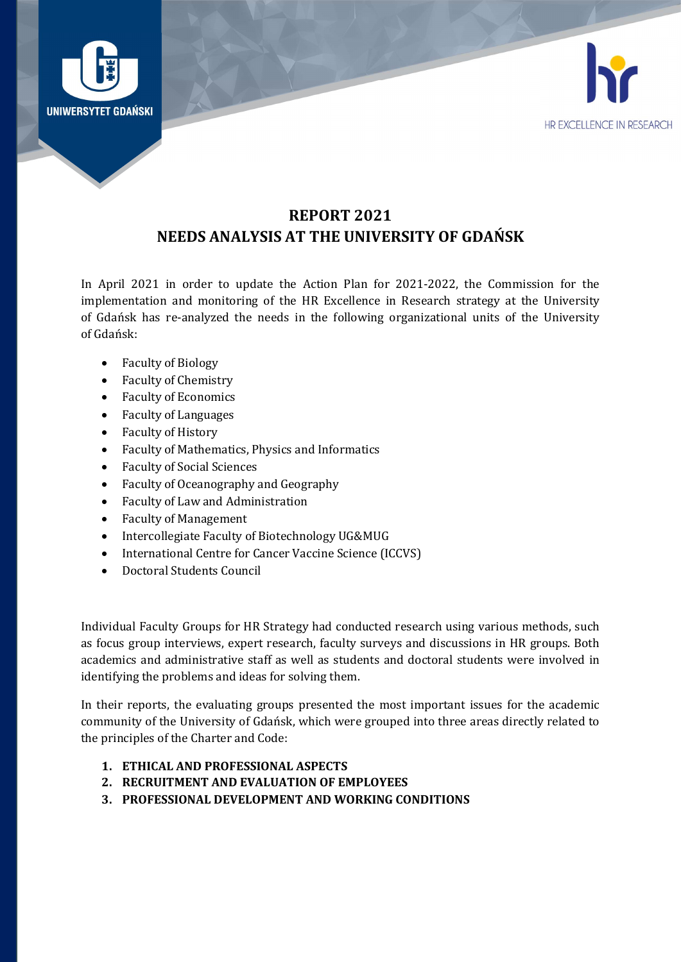



# REPORT 2021 NEEDS ANALYSIS AT THE UNIVERSITY OF GDAŃSK

In April 2021 in order to update the Action Plan for 2021-2022, the Commission for the implementation and monitoring of the HR Excellence in Research strategy at the University of Gdańsk has re-analyzed the needs in the following organizational units of the University of Gdańsk:

- Faculty of Biology
- Faculty of Chemistry
- Faculty of Economics
- Faculty of Languages
- Faculty of History
- Faculty of Mathematics, Physics and Informatics
- Faculty of Social Sciences
- Faculty of Oceanography and Geography
- Faculty of Law and Administration
- Faculty of Management
- Intercollegiate Faculty of Biotechnology UG&MUG
- International Centre for Cancer Vaccine Science (ICCVS)
- Doctoral Students Council

Individual Faculty Groups for HR Strategy had conducted research using various methods, such as focus group interviews, expert research, faculty surveys and discussions in HR groups. Both academics and administrative staff as well as students and doctoral students were involved in identifying the problems and ideas for solving them.

In their reports, the evaluating groups presented the most important issues for the academic community of the University of Gdańsk, which were grouped into three areas directly related to the principles of the Charter and Code:

- 1. ETHICAL AND PROFESSIONAL ASPECTS
- 2. RECRUITMENT AND EVALUATION OF EMPLOYEES
- 3. PROFESSIONAL DEVELOPMENT AND WORKING CONDITIONS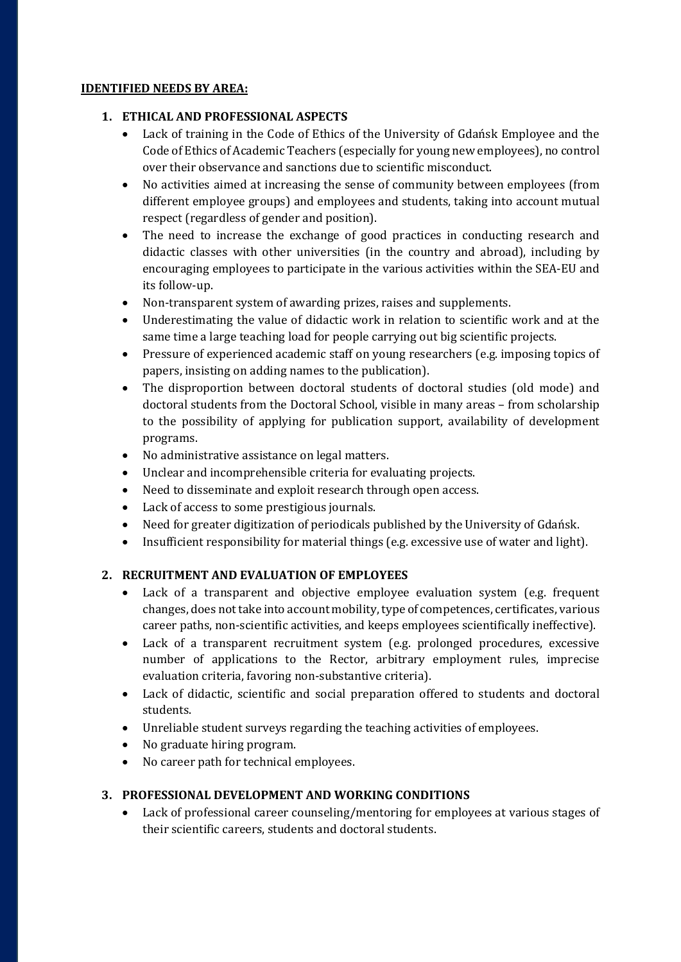#### IDENTIFIED NEEDS BY AREA:

### 1. ETHICAL AND PROFESSIONAL ASPECTS

- Lack of training in the Code of Ethics of the University of Gdańsk Employee and the Code of Ethics of Academic Teachers (especially for young new employees), no control over their observance and sanctions due to scientific misconduct.
- No activities aimed at increasing the sense of community between employees (from different employee groups) and employees and students, taking into account mutual respect (regardless of gender and position).
- The need to increase the exchange of good practices in conducting research and didactic classes with other universities (in the country and abroad), including by encouraging employees to participate in the various activities within the SEA-EU and its follow-up.
- Non-transparent system of awarding prizes, raises and supplements.
- Underestimating the value of didactic work in relation to scientific work and at the same time a large teaching load for people carrying out big scientific projects.
- Pressure of experienced academic staff on young researchers (e.g. imposing topics of papers, insisting on adding names to the publication).
- The disproportion between doctoral students of doctoral studies (old mode) and doctoral students from the Doctoral School, visible in many areas – from scholarship to the possibility of applying for publication support, availability of development programs.
- No administrative assistance on legal matters.
- Unclear and incomprehensible criteria for evaluating projects.
- Need to disseminate and exploit research through open access.
- Lack of access to some prestigious journals.
- Need for greater digitization of periodicals published by the University of Gdańsk.
- Insufficient responsibility for material things (e.g. excessive use of water and light).

## 2. RECRUITMENT AND EVALUATION OF EMPLOYEES

- Lack of a transparent and objective employee evaluation system (e.g. frequent changes, does not take into account mobility, type of competences, certificates, various career paths, non-scientific activities, and keeps employees scientifically ineffective).
- Lack of a transparent recruitment system (e.g. prolonged procedures, excessive number of applications to the Rector, arbitrary employment rules, imprecise evaluation criteria, favoring non-substantive criteria).
- Lack of didactic, scientific and social preparation offered to students and doctoral students.
- Unreliable student surveys regarding the teaching activities of employees.
- No graduate hiring program.
- No career path for technical employees.

### 3. PROFESSIONAL DEVELOPMENT AND WORKING CONDITIONS

 Lack of professional career counseling/mentoring for employees at various stages of their scientific careers, students and doctoral students.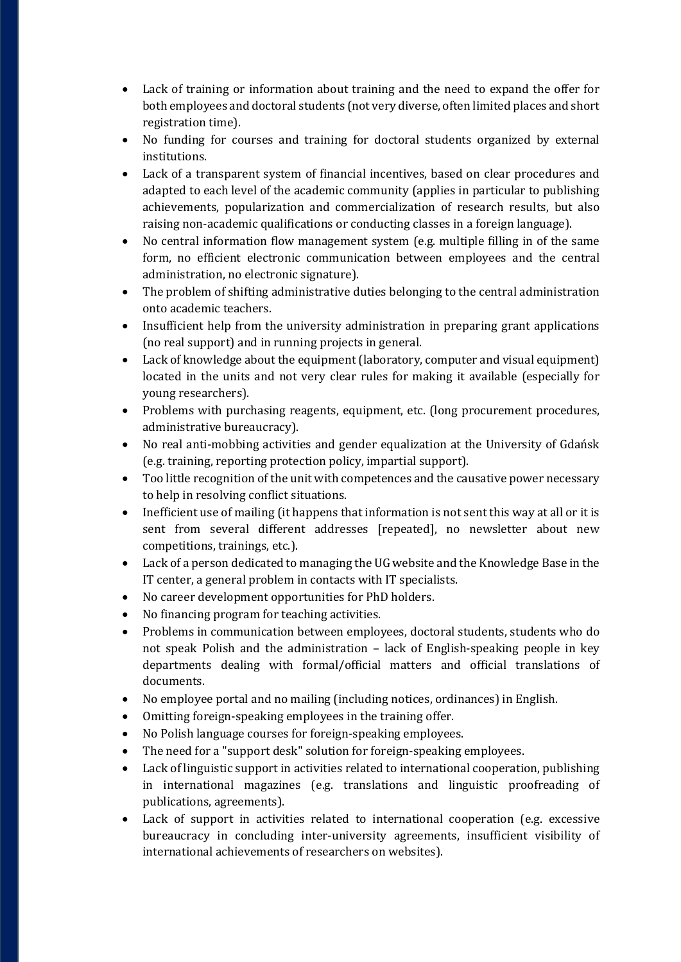- Lack of training or information about training and the need to expand the offer for both employees and doctoral students (not very diverse, often limited places and short registration time).
- No funding for courses and training for doctoral students organized by external institutions.
- Lack of a transparent system of financial incentives, based on clear procedures and adapted to each level of the academic community (applies in particular to publishing achievements, popularization and commercialization of research results, but also raising non-academic qualifications or conducting classes in a foreign language).
- No central information flow management system (e.g. multiple filling in of the same form, no efficient electronic communication between employees and the central administration, no electronic signature).
- The problem of shifting administrative duties belonging to the central administration onto academic teachers.
- Insufficient help from the university administration in preparing grant applications (no real support) and in running projects in general.
- Lack of knowledge about the equipment (laboratory, computer and visual equipment) located in the units and not very clear rules for making it available (especially for young researchers).
- Problems with purchasing reagents, equipment, etc. (long procurement procedures, administrative bureaucracy).
- No real anti-mobbing activities and gender equalization at the University of Gdańsk (e.g. training, reporting protection policy, impartial support).
- Too little recognition of the unit with competences and the causative power necessary to help in resolving conflict situations.
- Inefficient use of mailing (it happens that information is not sent this way at all or it is sent from several different addresses [repeated], no newsletter about new competitions, trainings, etc.).
- Lack of a person dedicated to managing the UG website and the Knowledge Base in the IT center, a general problem in contacts with IT specialists.
- No career development opportunities for PhD holders.
- No financing program for teaching activities.
- Problems in communication between employees, doctoral students, students who do not speak Polish and the administration – lack of English-speaking people in key departments dealing with formal/official matters and official translations of documents.
- No employee portal and no mailing (including notices, ordinances) in English.
- Omitting foreign-speaking employees in the training offer.
- No Polish language courses for foreign-speaking employees.
- The need for a "support desk" solution for foreign-speaking employees.
- Lack of linguistic support in activities related to international cooperation, publishing in international magazines (e.g. translations and linguistic proofreading of publications, agreements).
- Lack of support in activities related to international cooperation (e.g. excessive bureaucracy in concluding inter-university agreements, insufficient visibility of international achievements of researchers on websites).